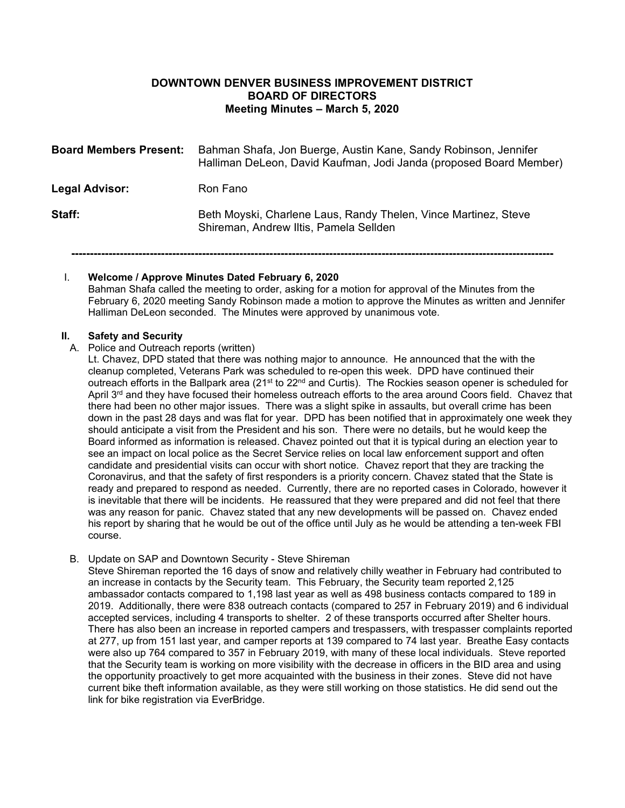# **DOWNTOWN DENVER BUSINESS IMPROVEMENT DISTRICT BOARD OF DIRECTORS Meeting Minutes – March 5, 2020**

| <b>Board Members Present:</b> | Bahman Shafa, Jon Buerge, Austin Kane, Sandy Robinson, Jennifer<br>Halliman DeLeon, David Kaufman, Jodi Janda (proposed Board Member) |
|-------------------------------|---------------------------------------------------------------------------------------------------------------------------------------|
| Legal Advisor:                | Ron Fano                                                                                                                              |
| Staff:                        | Beth Moyski, Charlene Laus, Randy Thelen, Vince Martinez, Steve<br>Shireman, Andrew Iltis, Pamela Sellden                             |

**---------------------------------------------------------------------------------------------------------------------------------**

### I. **Welcome / Approve Minutes Dated February 6, 2020**

Bahman Shafa called the meeting to order, asking for a motion for approval of the Minutes from the February 6, 2020 meeting Sandy Robinson made a motion to approve the Minutes as written and Jennifer Halliman DeLeon seconded. The Minutes were approved by unanimous vote.

#### **II. Safety and Security**

### A. Police and Outreach reports (written)

Lt. Chavez, DPD stated that there was nothing major to announce. He announced that the with the cleanup completed, Veterans Park was scheduled to re-open this week. DPD have continued their outreach efforts in the Ballpark area (21<sup>st</sup> to 22<sup>nd</sup> and Curtis). The Rockies season opener is scheduled for April 3<sup>rd</sup> and they have focused their homeless outreach efforts to the area around Coors field. Chavez that there had been no other major issues. There was a slight spike in assaults, but overall crime has been down in the past 28 days and was flat for year. DPD has been notified that in approximately one week they should anticipate a visit from the President and his son. There were no details, but he would keep the Board informed as information is released. Chavez pointed out that it is typical during an election year to see an impact on local police as the Secret Service relies on local law enforcement support and often candidate and presidential visits can occur with short notice. Chavez report that they are tracking the Coronavirus, and that the safety of first responders is a priority concern. Chavez stated that the State is ready and prepared to respond as needed. Currently, there are no reported cases in Colorado, however it is inevitable that there will be incidents. He reassured that they were prepared and did not feel that there was any reason for panic. Chavez stated that any new developments will be passed on. Chavez ended his report by sharing that he would be out of the office until July as he would be attending a ten-week FBI course.

B. Update on SAP and Downtown Security - Steve Shireman

Steve Shireman reported the 16 days of snow and relatively chilly weather in February had contributed to an increase in contacts by the Security team. This February, the Security team reported 2,125 ambassador contacts compared to 1,198 last year as well as 498 business contacts compared to 189 in 2019. Additionally, there were 838 outreach contacts (compared to 257 in February 2019) and 6 individual accepted services, including 4 transports to shelter. 2 of these transports occurred after Shelter hours. There has also been an increase in reported campers and trespassers, with trespasser complaints reported at 277, up from 151 last year, and camper reports at 139 compared to 74 last year. Breathe Easy contacts were also up 764 compared to 357 in February 2019, with many of these local individuals. Steve reported that the Security team is working on more visibility with the decrease in officers in the BID area and using the opportunity proactively to get more acquainted with the business in their zones. Steve did not have current bike theft information available, as they were still working on those statistics. He did send out the link for bike registration via EverBridge.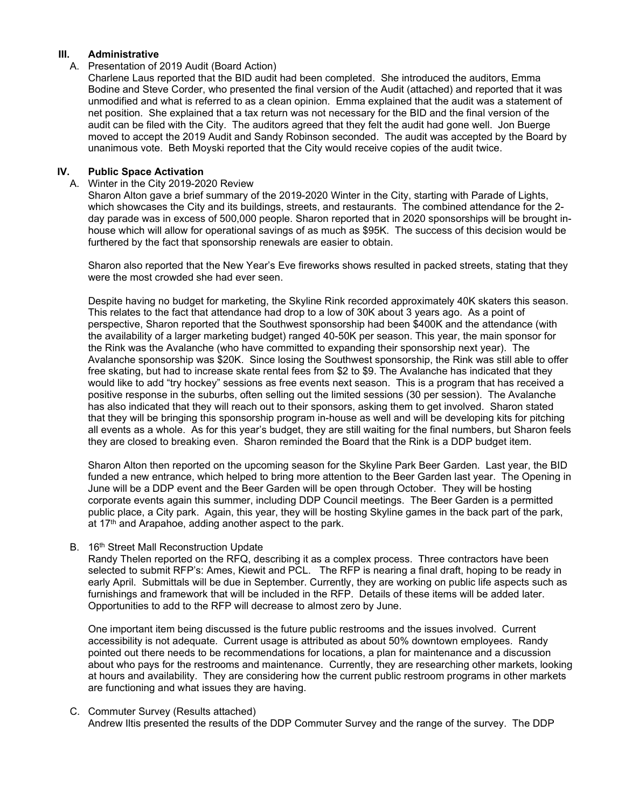## **III. Administrative**

### A. Presentation of 2019 Audit (Board Action)

Charlene Laus reported that the BID audit had been completed. She introduced the auditors, Emma Bodine and Steve Corder, who presented the final version of the Audit (attached) and reported that it was unmodified and what is referred to as a clean opinion. Emma explained that the audit was a statement of net position. She explained that a tax return was not necessary for the BID and the final version of the audit can be filed with the City. The auditors agreed that they felt the audit had gone well. Jon Buerge moved to accept the 2019 Audit and Sandy Robinson seconded. The audit was accepted by the Board by unanimous vote. Beth Moyski reported that the City would receive copies of the audit twice.

## **IV. Public Space Activation**

### A. Winter in the City 2019-2020 Review

Sharon Alton gave a brief summary of the 2019-2020 Winter in the City, starting with Parade of Lights, which showcases the City and its buildings, streets, and restaurants. The combined attendance for the 2 day parade was in excess of 500,000 people. Sharon reported that in 2020 sponsorships will be brought inhouse which will allow for operational savings of as much as \$95K. The success of this decision would be furthered by the fact that sponsorship renewals are easier to obtain.

Sharon also reported that the New Year's Eve fireworks shows resulted in packed streets, stating that they were the most crowded she had ever seen.

Despite having no budget for marketing, the Skyline Rink recorded approximately 40K skaters this season. This relates to the fact that attendance had drop to a low of 30K about 3 years ago. As a point of perspective, Sharon reported that the Southwest sponsorship had been \$400K and the attendance (with the availability of a larger marketing budget) ranged 40-50K per season. This year, the main sponsor for the Rink was the Avalanche (who have committed to expanding their sponsorship next year). The Avalanche sponsorship was \$20K. Since losing the Southwest sponsorship, the Rink was still able to offer free skating, but had to increase skate rental fees from \$2 to \$9. The Avalanche has indicated that they would like to add "try hockey" sessions as free events next season. This is a program that has received a positive response in the suburbs, often selling out the limited sessions (30 per session). The Avalanche has also indicated that they will reach out to their sponsors, asking them to get involved. Sharon stated that they will be bringing this sponsorship program in-house as well and will be developing kits for pitching all events as a whole. As for this year's budget, they are still waiting for the final numbers, but Sharon feels they are closed to breaking even. Sharon reminded the Board that the Rink is a DDP budget item.

Sharon Alton then reported on the upcoming season for the Skyline Park Beer Garden. Last year, the BID funded a new entrance, which helped to bring more attention to the Beer Garden last year. The Opening in June will be a DDP event and the Beer Garden will be open through October. They will be hosting corporate events again this summer, including DDP Council meetings. The Beer Garden is a permitted public place, a City park. Again, this year, they will be hosting Skyline games in the back part of the park, at 17<sup>th</sup> and Arapahoe, adding another aspect to the park.

### B. 16<sup>th</sup> Street Mall Reconstruction Update

Randy Thelen reported on the RFQ, describing it as a complex process. Three contractors have been selected to submit RFP's: Ames, Kiewit and PCL. The RFP is nearing a final draft, hoping to be ready in early April. Submittals will be due in September. Currently, they are working on public life aspects such as furnishings and framework that will be included in the RFP. Details of these items will be added later. Opportunities to add to the RFP will decrease to almost zero by June.

One important item being discussed is the future public restrooms and the issues involved. Current accessibility is not adequate. Current usage is attributed as about 50% downtown employees. Randy pointed out there needs to be recommendations for locations, a plan for maintenance and a discussion about who pays for the restrooms and maintenance. Currently, they are researching other markets, looking at hours and availability. They are considering how the current public restroom programs in other markets are functioning and what issues they are having.

### C. Commuter Survey (Results attached)

Andrew Iltis presented the results of the DDP Commuter Survey and the range of the survey. The DDP